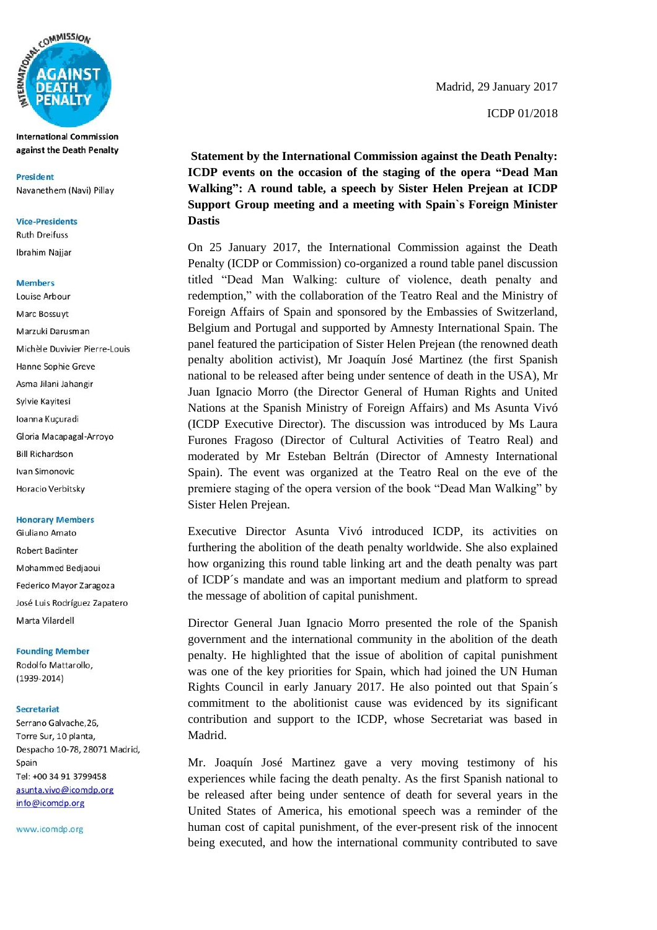

**International Commission** against the Death Penalty

**President** Navanethem (Navi) Pillav

### **Vice-Presidents**

**Ruth Dreifuss Ibrahim Najjar** 

### **Members**

Louise Arbour Marc Bossuyt Marzuki Darusman Michèle Duvivier Pierre-Louis Hanne Sophie Greve Asma Jilani Jahangir Sylvie Kayitesi Ioanna Kuçuradi Gloria Macapagal-Arroyo **Bill Richardson** Ivan Simonovic Horacio Verbitsky

### **Honorary Members**

Giuliano Amato **Robert Badinter** Mohammed Bedjaoui Federico Mayor Zaragoza José Luis Rodríguez Zapatero Marta Vilardell

#### **Founding Member**

Rodolfo Mattarollo,  $(1939 - 2014)$ 

#### Secretariat

Serrano Galvache, 26, Torre Sur, 10 planta, Despacho 10-78, 28071 Madrid, Spain Tel: +00 34 91 3799458 asunta.vivo@icomdp.org info@icomdp.org

www.icomdp.org

 Madrid, 29 January 2017 ICDP 01/2018

**Statement by the International Commission against the Death Penalty: ICDP events on the occasion of the staging of the opera "Dead Man Walking": A round table, a speech by Sister Helen Prejean at ICDP Support Group meeting and a meeting with Spain`s Foreign Minister Dastis**

On 25 January 2017, the International Commission against the Death Penalty (ICDP or Commission) co-organized a round table panel discussion titled "Dead Man Walking: culture of violence, death penalty and redemption," with the collaboration of the Teatro Real and the Ministry of Foreign Affairs of Spain and sponsored by the Embassies of Switzerland, Belgium and Portugal and supported by Amnesty International Spain. The panel featured the participation of Sister Helen Prejean (the renowned death penalty abolition activist), Mr Joaquín José Martinez (the first Spanish national to be released after being under sentence of death in the USA), Mr Juan Ignacio Morro (the Director General of Human Rights and United Nations at the Spanish Ministry of Foreign Affairs) and Ms Asunta Vivó (ICDP Executive Director). The discussion was introduced by Ms Laura Furones Fragoso (Director of Cultural Activities of Teatro Real) and moderated by Mr Esteban Beltrán (Director of Amnesty International Spain). The event was organized at the Teatro Real on the eve of the premiere staging of the opera version of the book "Dead Man Walking" by Sister Helen Prejean.

Executive Director Asunta Vivó introduced ICDP, its activities on furthering the abolition of the death penalty worldwide. She also explained how organizing this round table linking art and the death penalty was part of ICDP´s mandate and was an important medium and platform to spread the message of abolition of capital punishment.

Director General Juan Ignacio Morro presented the role of the Spanish government and the international community in the abolition of the death penalty. He highlighted that the issue of abolition of capital punishment was one of the key priorities for Spain, which had joined the UN Human Rights Council in early January 2017. He also pointed out that Spain´s commitment to the abolitionist cause was evidenced by its significant contribution and support to the ICDP, whose Secretariat was based in Madrid.

Mr. Joaquín José Martinez gave a very moving testimony of his experiences while facing the death penalty. As the first Spanish national to be released after being under sentence of death for several years in the United States of America, his emotional speech was a reminder of the human cost of capital punishment, of the ever-present risk of the innocent being executed, and how the international community contributed to save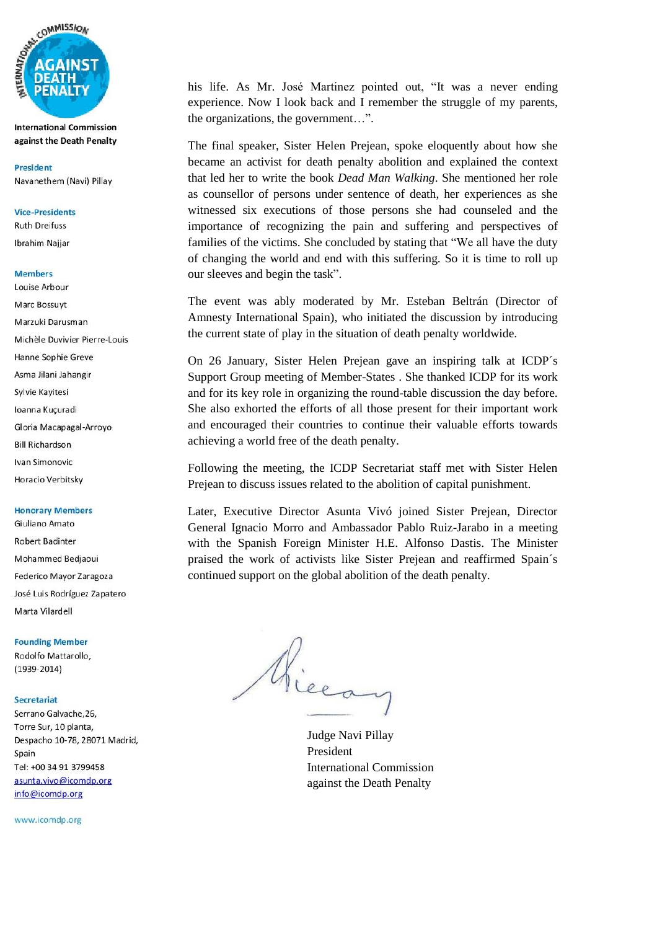

**International Commission** against the Death Penalty

**President** Navanethem (Navi) Pillav

## **Vice-Presidents**

**Ruth Dreifuss Ibrahim Najjar** 

- **Members**
- Louise Arbour Marc Bossuyt Marzuki Darusman Michèle Duvivier Pierre-Louis Hanne Sophie Greve Asma Jilani Jahangir Sylvie Kayitesi Ioanna Kuçuradi Gloria Macapagal-Arroyo **Bill Richardson** Ivan Simonovic Horacio Verbitsky

#### **Honorary Members**

Giuliano Amato **Robert Badinter** Mohammed Bedjaoui Federico Mayor Zaragoza José Luis Rodríguez Zapatero Marta Vilardell

### **Founding Member**

Rodolfo Mattarollo,  $(1939 - 2014)$ 

#### Secretariat

Serrano Galvache, 26, Torre Sur, 10 planta, Despacho 10-78, 28071 Madrid, Spain Tel: +00 34 91 3799458 asunta.vivo@icomdp.org info@icomdp.org

www.icomdp.org

his life. As Mr. José Martinez pointed out, "It was a never ending experience. Now I look back and I remember the struggle of my parents, the organizations, the government…".

The final speaker, Sister Helen Prejean, spoke eloquently about how she became an activist for death penalty abolition and explained the context that led her to write the book *Dead Man Walking*. She mentioned her role as counsellor of persons under sentence of death, her experiences as she witnessed six executions of those persons she had counseled and the importance of recognizing the pain and suffering and perspectives of families of the victims. She concluded by stating that "We all have the duty of changing the world and end with this suffering. So it is time to roll up our sleeves and begin the task".

The event was ably moderated by Mr. Esteban Beltrán (Director of Amnesty International Spain), who initiated the discussion by introducing the current state of play in the situation of death penalty worldwide.

On 26 January, Sister Helen Prejean gave an inspiring talk at ICDP´s Support Group meeting of Member-States . She thanked ICDP for its work and for its key role in organizing the round-table discussion the day before. She also exhorted the efforts of all those present for their important work and encouraged their countries to continue their valuable efforts towards achieving a world free of the death penalty.

Following the meeting, the ICDP Secretariat staff met with Sister Helen Prejean to discuss issues related to the abolition of capital punishment.

Later, Executive Director Asunta Vivó joined Sister Prejean, Director General Ignacio Morro and Ambassador Pablo Ruiz-Jarabo in a meeting with the Spanish Foreign Minister H.E. Alfonso Dastis. The Minister praised the work of activists like Sister Prejean and reaffirmed Spain´s continued support on the global abolition of the death penalty.

Micean

Judge Navi Pillay President International Commission against the Death Penalty